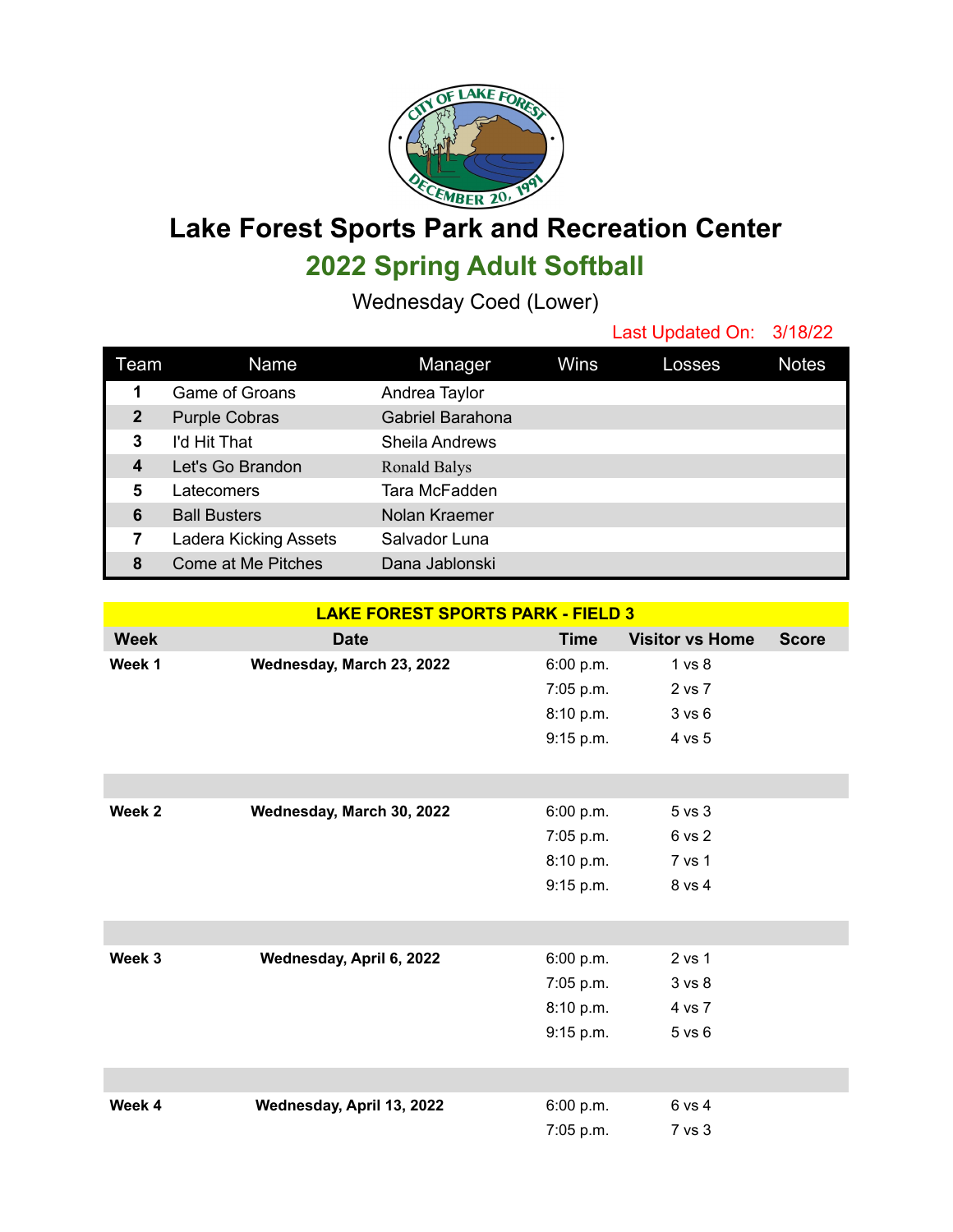

**Lake Forest Sports Park and Recreation Center 2022 Spring Adult Softball**

Wednesday Coed (Lower)

|                  |                           |                  |      | Last Updated On: 3/18/22 |              |
|------------------|---------------------------|------------------|------|--------------------------|--------------|
| Team             | Name                      | Manager          | Wins | Losses                   | <b>Notes</b> |
| 1                | <b>Game of Groans</b>     | Andrea Taylor    |      |                          |              |
| $\mathbf{2}$     | <b>Purple Cobras</b>      | Gabriel Barahona |      |                          |              |
| 3                | I'd Hit That              | Sheila Andrews   |      |                          |              |
| $\boldsymbol{4}$ | Let's Go Brandon          | Ronald Balys     |      |                          |              |
| 5                | Latecomers                | Tara McFadden    |      |                          |              |
| 6                | <b>Ball Busters</b>       | Nolan Kraemer    |      |                          |              |
| 7                | Ladera Kicking Assets     | Salvador Luna    |      |                          |              |
| 8                | <b>Come at Me Pitches</b> | Dana Jablonski   |      |                          |              |

| <b>LAKE FOREST SPORTS PARK - FIELD 3</b> |                           |             |                        |              |  |  |  |  |
|------------------------------------------|---------------------------|-------------|------------------------|--------------|--|--|--|--|
| <b>Week</b>                              | <b>Date</b>               | <b>Time</b> | <b>Visitor vs Home</b> | <b>Score</b> |  |  |  |  |
| Week 1                                   | Wednesday, March 23, 2022 | 6:00 p.m.   | 1 vs 8                 |              |  |  |  |  |
|                                          |                           | 7:05 p.m.   | 2 vs 7                 |              |  |  |  |  |
|                                          |                           | 8:10 p.m.   | 3 vs 6                 |              |  |  |  |  |
|                                          |                           | 9:15 p.m.   | 4 vs 5                 |              |  |  |  |  |
|                                          |                           |             |                        |              |  |  |  |  |
|                                          |                           |             |                        |              |  |  |  |  |
| Week <sub>2</sub>                        | Wednesday, March 30, 2022 | 6:00 p.m.   | 5 vs 3                 |              |  |  |  |  |
|                                          |                           | 7:05 p.m.   | 6 vs 2                 |              |  |  |  |  |
|                                          |                           | 8:10 p.m.   | 7 vs 1                 |              |  |  |  |  |
|                                          |                           | 9:15 p.m.   | 8 vs 4                 |              |  |  |  |  |
|                                          |                           |             |                        |              |  |  |  |  |
|                                          |                           |             |                        |              |  |  |  |  |
| Week 3                                   | Wednesday, April 6, 2022  | 6:00 p.m.   | 2 vs 1                 |              |  |  |  |  |
|                                          |                           | 7:05 p.m.   | 3 <sub>vs</sub> 8      |              |  |  |  |  |
|                                          |                           | 8:10 p.m.   | 4 vs 7                 |              |  |  |  |  |
|                                          |                           | 9:15 p.m.   | 5 vs 6                 |              |  |  |  |  |
|                                          |                           |             |                        |              |  |  |  |  |
|                                          |                           |             |                        |              |  |  |  |  |
| Week 4                                   | Wednesday, April 13, 2022 | 6:00 p.m.   | 6 vs 4                 |              |  |  |  |  |
|                                          |                           | 7:05 p.m.   | 7 vs 3                 |              |  |  |  |  |